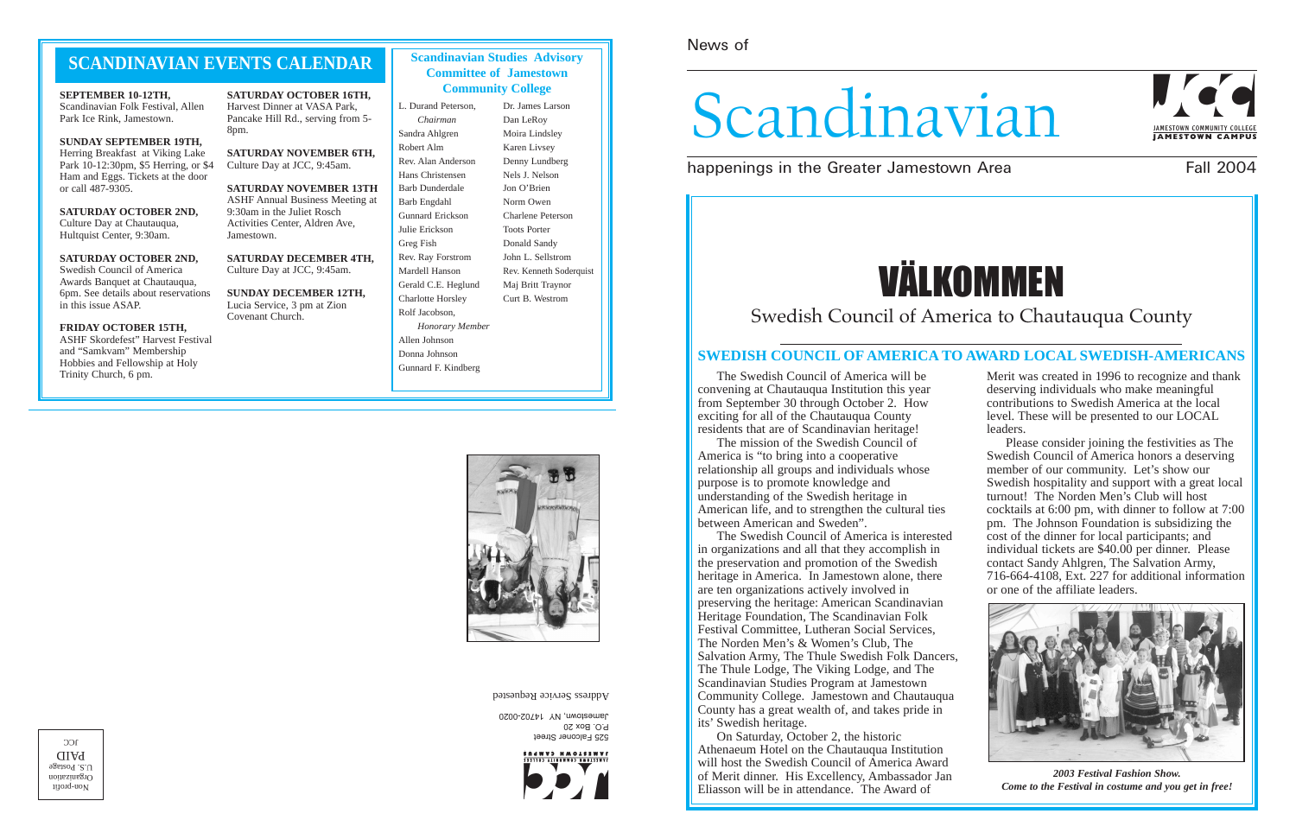# News of

# Scandinavian

happenings in the Greater Jamestown Area Fall 2004

525 Falconer Street P.O. Box 20 Jamestown, NY 14702-0020







# **SCANDINAVIAN EVENTS CALENDAR**

### **SEPTEMBER 10-12TH,** Scandinavian Folk Festival, Allen Park Ice Rink, Jamestown.

**SUNDAY SEPTEMBER 19TH,** Herring Breakfast at Viking Lake Park 10-12:30pm, \$5 Herring, or \$4 Ham and Eggs. Tickets at the door or call 487-9305.

**SATURDAY OCTOBER 2ND,** Culture Day at Chautauqua. Hultquist Center, 9:30am.

**SATURDAY OCTOBER 2ND,** Swedish Council of America Awards Banquet at Chautauqua, 6pm. See details about reservations in this issue ASAP.

**FRIDAY OCTOBER 15TH,**

ASHF Skordefest" Harvest Festival and "Samkvam" Membership Hobbies and Fellowship at Holy Trinity Church, 6 pm.

**SATURDAY OCTOBER 16TH,** Harvest Dinner at VASA Park, Pancake Hill Rd., serving from 5- 8pm.

**SATURDAY NOVEMBER 6TH,** Culture Day at JCC, 9:45am.

**SATURDAY NOVEMBER 13TH** ASHF Annual Business Meeting at 9:30am in the Juliet Rosch Activities Center, Aldren Ave, Jamestown.

**SATURDAY DECEMBER 4TH,** Culture Day at JCC, 9:45am.

**SUNDAY DECEMBER 12TH,** Lucia Service, 3 pm at Zion Covenant Church.

**Scandinavian Studies Advisory Committee of Jamestown Community College**

L. Durand Peterson, *Chairman* Sandra Ahlgren Robert Alm Rev. Alan Anderson Hans Christensen Barb Dunderdale Barb Engdahl Gunnard Erickson Julie Erickson Greg Fish

Rev. Ray Forstrom Mardell Hanson Gerald C.E. Heglund

Charlotte Horsley Rolf Jacobson, *Honorary Member* Allen Johnson

Donna Johnson Gunnard F. Kindberg



Dr. James Larson Dan LeRoy Moira Lindsley Karen Livsey Denny Lundberg Nels J. Nelson Jon O'Brien Norm Owen Charlene Peterson Toots Porter Donald Sandy John L. Sellstrom Rev. Kenneth Soderquist Maj Britt Traynor Curt B. Westrom

### Address Service Requested

The Swedish Council of America will be convening at Chautauqua Institution this year from September 30 through October 2. How exciting for all of the Chautauqua County residents that are of Scandinavian heritage!

The mission of the Swedish Council of America is "to bring into a cooperative relationship all groups and individuals whose purpose is to promote knowledge and understanding of the Swedish heritage in American life, and to strengthen the cultural ties between American and Sweden".

The Swedish Council of America is interested in organizations and all that they accomplish in the preservation and promotion of the Swedish heritage in America. In Jamestown alone, there are ten organizations actively involved in preserving the heritage: American Scandinavian Heritage Foundation, The Scandinavian Folk Festival Committee, Lutheran Social Services, The Norden Men's & Women's Club, The Salvation Army, The Thule Swedish Folk Dancers, The Thule Lodge, The Viking Lodge, and The Scandinavian Studies Program at Jamestown Community College. Jamestown and Chautauqua County has a great wealth of, and takes pride in its' Swedish heritage.

On Saturday, October 2, the historic Athenaeum Hotel on the Chautauqua Institution will host the Swedish Council of America Award of Merit dinner. His Excellency, Ambassador Jan Eliasson will be in attendance. The Award of

Merit was created in 1996 to recognize and thank deserving individuals who make meaningful contributions to Swedish America at the local level. These will be presented to our LOCAL leaders.

Please consider joining the festivities as The Swedish Council of America honors a deserving member of our community. Let's show our Swedish hospitality and support with a great local turnout! The Norden Men's Club will host cocktails at 6:00 pm, with dinner to follow at 7:00 pm. The Johnson Foundation is subsidizing the cost of the dinner for local participants; and individual tickets are \$40.00 per dinner. Please contact Sandy Ahlgren, The Salvation Army, 716-664-4108, Ext. 227 for additional information or one of the affiliate leaders.

# **SWEDISH COUNCIL OF AMERICA TO AWARD LOCAL SWEDISH-AMERICANS**

# VÄLKOMMEN

# Swedish Council of America to Chautauqua County



*2003 Festival Fashion Show. Come to the Festival in costume and you get in free!*